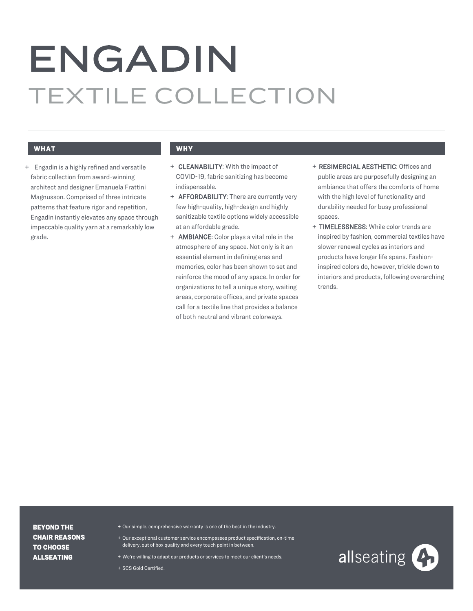# ENGADIN TEXTILE COLLECTION

# **WHAT WHY**

+ Engadin is a highly refined and versatile fabric collection from award-winning architect and designer Emanuela Frattini Magnusson. Comprised of three intricate patterns that feature rigor and repetition, Engadin instantly elevates any space through impeccable quality yarn at a remarkably low grade.

- + CLEANABILITY: With the impact of COVID-19, fabric sanitizing has become indispensable.
- + **AFFORDABILITY:** There are currently very few high-quality, high-design and highly sanitizable textile options widely accessible at an affordable grade.
- + AMBIANCE: Color plays a vital role in the atmosphere of any space. Not only is it an essential element in defining eras and memories, color has been shown to set and reinforce the mood of any space. In order for organizations to tell a unique story, waiting areas, corporate offices, and private spaces call for a textile line that provides a balance of both neutral and vibrant colorways.
- + RESIMERCIAL AESTHETIC: Offices and public areas are purposefully designing an ambiance that offers the comforts of home with the high level of functionality and durability needed for busy professional spaces.
- + TIMELESSNESS: While color trends are inspired by fashion, commercial textiles have slower renewal cycles as interiors and products have longer life spans. Fashioninspired colors do, however, trickle down to interiors and products, following overarching trends.

**BEYOND THE CHAIR REASONS TO CHOOSE ALLSEATING**

- + Our simple, comprehensive warranty is one of the best in the industry.
- + Our exceptional customer service encompasses product specification, on-time delivery, out of box quality and every touch point in between.
- + We're willing to adapt our products or services to meet our client's needs.

+ SCS Gold Certified.